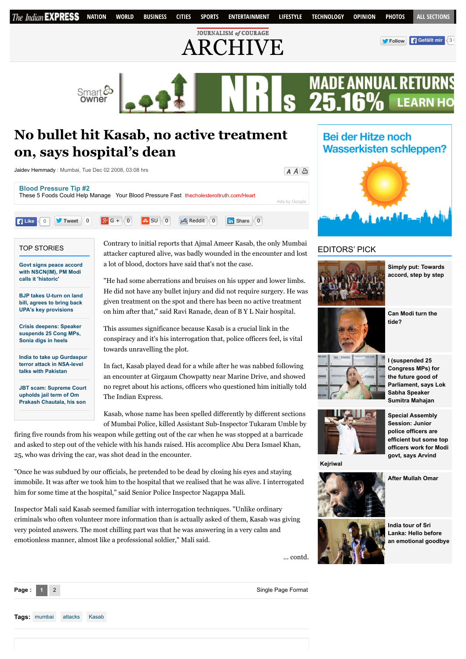

# **No bullet hit Kasab, no active treatment on, says hospital's dean**

| Jaidev Hemmady: Mumbai, Tue Dec 02 2008, 03:08 hrs                                                                                                                                                                                                                                                                                     | $A \overline{A}$ 수 |
|----------------------------------------------------------------------------------------------------------------------------------------------------------------------------------------------------------------------------------------------------------------------------------------------------------------------------------------|--------------------|
| <b>Blood Pressure Tip #2</b><br>These 5 Foods Could Help Manage<br>Your Blood Pressure Fast thecholesteroltruth.com/Heart                                                                                                                                                                                                              | Ads by Google      |
| <b>T</b> Tweet $\begin{pmatrix} 0 \\ 1 \end{pmatrix}$ $\begin{pmatrix} 3 & 6 \\ 1 & 6 \end{pmatrix}$ $\begin{pmatrix} 0 \\ 0 \end{pmatrix}$ $\begin{pmatrix} 0 \\ 0 \end{pmatrix}$<br>$\frac{1}{25}$ Reddit $\left  \begin{array}{c} 0 \\ 0 \end{array} \right $<br>$\frac{1}{\ln}$ Share $\leq 0$<br>$\vert \vert$ + Like $\vert$ < 0 |                    |

#### TOP STORIES

**[Govt signs peace accord](http://indianexpress.com/article/india/india-others/govt-signs-peace-accord-with-nscnim-pm-narendra-modi-says-historic/) with NSCN(IM), PM Modi calls it 'historic'**

**[BJP takes U-turn on land](http://indianexpress.com/article/india/india-others/bjp-takes-u-turn-on-land-bill-agrees-to-bring-back-upas-key-provisions/) bill, agrees to bring back UPA's key provisions**

**[Crisis deepens: Speaker](http://indianexpress.com/article/india/politics/black-day-for-democracy-sonia-gandhi-on-suspension-of-25-cong-mps/) suspends 25 Cong MPs, Sonia digs in heels**

**[India to take up Gurdaspur](http://indianexpress.com/article/india/india-others/india-pakistan-nsa-talks-india-to-take-up-gurdaspur-terror-attack/) terror attack in NSA-level talks with Pakistan**

**[JBT scam: Supreme Court](http://indianexpress.com/article/india/india-others/jbt-scam-supreme-court-upholds-jail-term-of-om-prakash-chautala-his-son/) upholds jail term of Om Prakash Chautala, his son** Contrary to initial reports that Ajmal Ameer Kasab, the only Mumbai attacker captured alive, was badly wounded in the encounter and lost a lot of blood, doctors have said that's not the case.

"He had some aberrations and bruises on his upper and lower limbs. He did not have any bullet injury and did not require surgery. He was given treatment on the spot and there has been no active treatment on him after that," said Ravi Ranade, dean of B Y L Nair hospital.

This assumes significance because Kasab is a crucial link in the conspiracy and it's his interrogation that, police officers feel, is vital towards unravelling the plot.

In fact, Kasab played dead for a while after he was nabbed following an encounter at Girgaum Chowpatty near Marine Drive, and showed no regret about his actions, officers who questioned him initially told The Indian Express.

Kasab, whose name has been spelled differently by different sections of Mumbai Police, killed Assistant Sub-Inspector Tukaram Umble by

firing five rounds from his weapon while getting out of the car when he was stopped at a barricade and asked to step out of the vehicle with his hands raised. His accomplice Abu Dera Ismael Khan, 25, who was driving the car, was shot dead in the encounter.

"Once he was subdued by our officials, he pretended to be dead by closing his eyes and staying immobile. It was after we took him to the hospital that we realised that he was alive. I interrogated him for some time at the hospital," said Senior Police Inspector Nagappa Mali.

Inspector Mali said Kasab seemed familiar with interrogation techniques. "Unlike ordinary criminals who often volunteer more information than is actually asked of them, Kasab was giving very pointed answers. The most chilling part was that he was answering in a very calm and emotionless manner, almost like a professional soldier," Mali said.

... contd.



**India tour of Sri Lanka: Hello before [an emotional goodbye](http://indianexpress.com/article/sports/cricket/india-tour-of-sri-lanka-hello-before-an-emotional-goodbye/)**

**Wasserkisten schleppen?** 

**Bei der Hitze noch** 

EDITORS' PICK



**[Simply put: Towards](http://indianexpress.com/article/explained/simply-put-towards-accord-step-by-step/) accord, step by step**



**[Can Modi turn the](http://indianexpress.com/article/opinion/columns/can-modi-turn-the-tide/) tide?**

**I (suspended 25 Congress MPs) for the future good of [Parliament, says Lok](http://indianexpress.com/article/india/india-others/i-suspended-25-cong-mps-for-the-future-good-of-parliament-says-sumitra-mahajan/) Sabha Speaker Sumitra Mahajan**



**Special Assembly Session: Junior police officers are efficient but some top [officers work for Modi](http://indianexpress.com/article/cities/delhi/special-assembly-session-junior-police-officers-are-efficient-but-some-top-officers-work-for-modi-govt-says-arvind-kejriwal/) govt, says Arvind**

**[After Mullah Omar](http://indianexpress.com/article/opinion/columns/after-mullah-omar/)**

**Kejriwal**



**Tags:** [mumbai](http://archive.indianexpress.com/gsearch.php?q=mumbai) [attacks](http://archive.indianexpress.com/gsearch.php?q=%20attacks) [Kasab](http://archive.indianexpress.com/gsearch.php?q=%20Kasab)